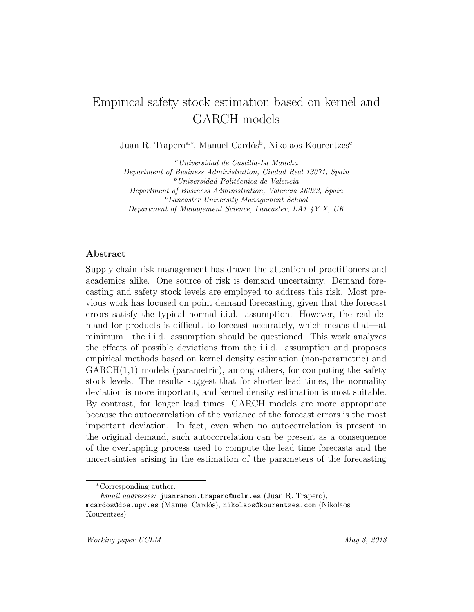# Empirical safety stock estimation based on kernel and GARCH models

Juan R. Trapero<sup>a,\*</sup>, Manuel Cardós<sup>b</sup>, Nikolaos Kourentzes<sup>c</sup>

<sup>a</sup>Universidad de Castilla-La Mancha Department of Business Administration, Ciudad Real 13071, Spain  $b$ Universidad Politécnica de Valencia Department of Business Administration, Valencia 46022, Spain <sup>c</sup>Lancaster University Management School Department of Management Science, Lancaster, LA1 4Y X, UK

## Abstract

Supply chain risk management has drawn the attention of practitioners and academics alike. One source of risk is demand uncertainty. Demand forecasting and safety stock levels are employed to address this risk. Most previous work has focused on point demand forecasting, given that the forecast errors satisfy the typical normal i.i.d. assumption. However, the real demand for products is difficult to forecast accurately, which means that—at minimum—the i.i.d. assumption should be questioned. This work analyzes the effects of possible deviations from the i.i.d. assumption and proposes empirical methods based on kernel density estimation (non-parametric) and  $GARCH(1,1)$  models (parametric), among others, for computing the safety stock levels. The results suggest that for shorter lead times, the normality deviation is more important, and kernel density estimation is most suitable. By contrast, for longer lead times, GARCH models are more appropriate because the autocorrelation of the variance of the forecast errors is the most important deviation. In fact, even when no autocorrelation is present in the original demand, such autocorrelation can be present as a consequence of the overlapping process used to compute the lead time forecasts and the uncertainties arising in the estimation of the parameters of the forecasting

<sup>∗</sup>Corresponding author.

Email addresses: juanramon.trapero@uclm.es (Juan R. Trapero), mcardos@doe.upv.es (Manuel Card´os), nikolaos@kourentzes.com (Nikolaos Kourentzes)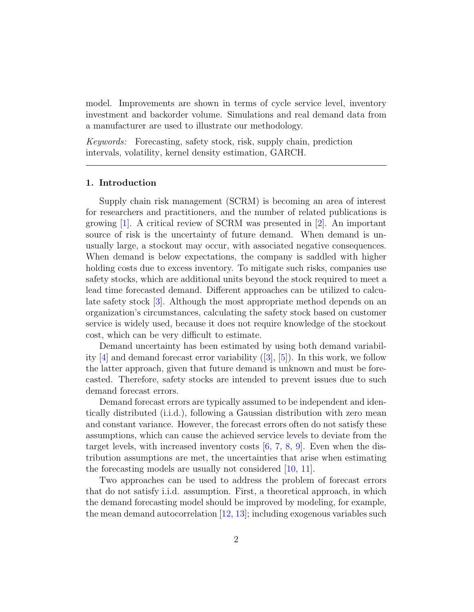model. Improvements are shown in terms of cycle service level, inventory investment and backorder volume. Simulations and real demand data from a manufacturer are used to illustrate our methodology.

Keywords: Forecasting, safety stock, risk, supply chain, prediction intervals, volatility, kernel density estimation, GARCH.

## 1. Introduction

Supply chain risk management (SCRM) is becoming an area of interest for researchers and practitioners, and the number of related publications is growing [\[1\]](#page-28-0). A critical review of SCRM was presented in [\[2\]](#page-29-0). An important source of risk is the uncertainty of future demand. When demand is unusually large, a stockout may occur, with associated negative consequences. When demand is below expectations, the company is saddled with higher holding costs due to excess inventory. To mitigate such risks, companies use safety stocks, which are additional units beyond the stock required to meet a lead time forecasted demand. Different approaches can be utilized to calculate safety stock [\[3\]](#page-29-1). Although the most appropriate method depends on an organization's circumstances, calculating the safety stock based on customer service is widely used, because it does not require knowledge of the stockout cost, which can be very difficult to estimate.

Demand uncertainty has been estimated by using both demand variability  $[4]$  and demand forecast error variability  $([3], [5])$  $([3], [5])$  $([3], [5])$  $([3], [5])$  $([3], [5])$ . In this work, we follow the latter approach, given that future demand is unknown and must be forecasted. Therefore, safety stocks are intended to prevent issues due to such demand forecast errors.

Demand forecast errors are typically assumed to be independent and identically distributed (i.i.d.), following a Gaussian distribution with zero mean and constant variance. However, the forecast errors often do not satisfy these assumptions, which can cause the achieved service levels to deviate from the target levels, with increased inventory costs  $[6, 7, 8, 9]$  $[6, 7, 8, 9]$  $[6, 7, 8, 9]$  $[6, 7, 8, 9]$  $[6, 7, 8, 9]$  $[6, 7, 8, 9]$  $[6, 7, 8, 9]$ . Even when the distribution assumptions are met, the uncertainties that arise when estimating the forecasting models are usually not considered [\[10,](#page-29-8) [11\]](#page-29-9).

Two approaches can be used to address the problem of forecast errors that do not satisfy i.i.d. assumption. First, a theoretical approach, in which the demand forecasting model should be improved by modeling, for example, the mean demand autocorrelation [\[12,](#page-29-10) [13\]](#page-30-0); including exogenous variables such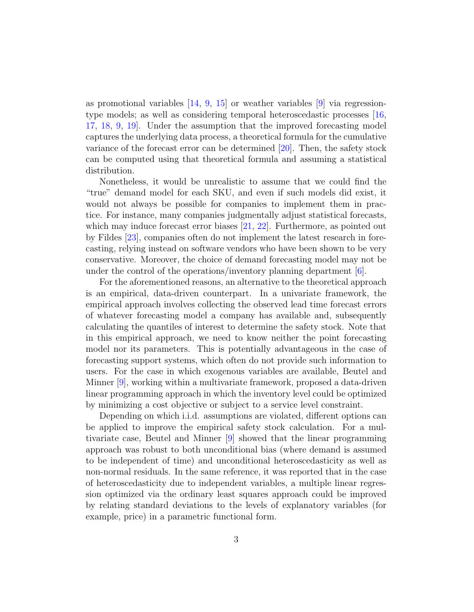as promotional variables  $[14, 9, 15]$  $[14, 9, 15]$  $[14, 9, 15]$  $[14, 9, 15]$  $[14, 9, 15]$  or weather variables  $[9]$  via regressiontype models; as well as considering temporal heteroscedastic processes [\[16,](#page-30-3) [17,](#page-30-4) [18,](#page-30-5) [9,](#page-29-7) [19\]](#page-30-6). Under the assumption that the improved forecasting model captures the underlying data process, a theoretical formula for the cumulative variance of the forecast error can be determined [\[20\]](#page-30-7). Then, the safety stock can be computed using that theoretical formula and assuming a statistical distribution.

Nonetheless, it would be unrealistic to assume that we could find the "true" demand model for each SKU, and even if such models did exist, it would not always be possible for companies to implement them in practice. For instance, many companies judgmentally adjust statistical forecasts, which may induce forecast error biases [\[21,](#page-30-8) [22\]](#page-30-9). Furthermore, as pointed out by Fildes [\[23\]](#page-30-10), companies often do not implement the latest research in forecasting, relying instead on software vendors who have been shown to be very conservative. Moreover, the choice of demand forecasting model may not be under the control of the operations/inventory planning department [\[6\]](#page-29-4).

For the aforementioned reasons, an alternative to the theoretical approach is an empirical, data-driven counterpart. In a univariate framework, the empirical approach involves collecting the observed lead time forecast errors of whatever forecasting model a company has available and, subsequently calculating the quantiles of interest to determine the safety stock. Note that in this empirical approach, we need to know neither the point forecasting model nor its parameters. This is potentially advantageous in the case of forecasting support systems, which often do not provide such information to users. For the case in which exogenous variables are available, Beutel and Minner [\[9\]](#page-29-7), working within a multivariate framework, proposed a data-driven linear programming approach in which the inventory level could be optimized by minimizing a cost objective or subject to a service level constraint.

Depending on which i.i.d. assumptions are violated, different options can be applied to improve the empirical safety stock calculation. For a multivariate case, Beutel and Minner [\[9\]](#page-29-7) showed that the linear programming approach was robust to both unconditional bias (where demand is assumed to be independent of time) and unconditional heteroscedasticity as well as non-normal residuals. In the same reference, it was reported that in the case of heteroscedasticity due to independent variables, a multiple linear regression optimized via the ordinary least squares approach could be improved by relating standard deviations to the levels of explanatory variables (for example, price) in a parametric functional form.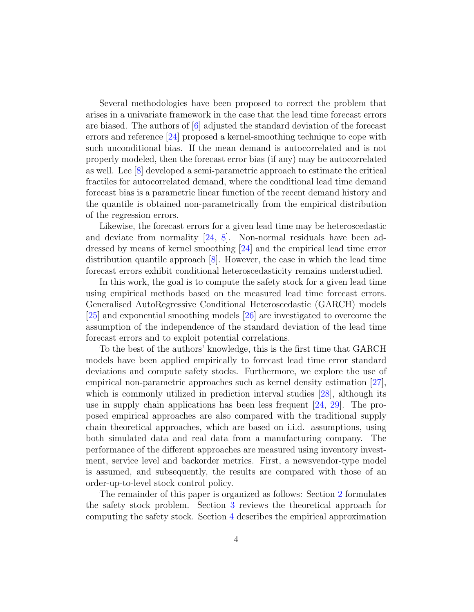Several methodologies have been proposed to correct the problem that arises in a univariate framework in the case that the lead time forecast errors are biased. The authors of  $[6]$  adjusted the standard deviation of the forecast errors and reference [\[24\]](#page-31-0) proposed a kernel-smoothing technique to cope with such unconditional bias. If the mean demand is autocorrelated and is not properly modeled, then the forecast error bias (if any) may be autocorrelated as well. Lee [\[8\]](#page-29-6) developed a semi-parametric approach to estimate the critical fractiles for autocorrelated demand, where the conditional lead time demand forecast bias is a parametric linear function of the recent demand history and the quantile is obtained non-parametrically from the empirical distribution of the regression errors.

Likewise, the forecast errors for a given lead time may be heteroscedastic and deviate from normality [\[24,](#page-31-0) [8\]](#page-29-6). Non-normal residuals have been addressed by means of kernel smoothing [\[24\]](#page-31-0) and the empirical lead time error distribution quantile approach [\[8\]](#page-29-6). However, the case in which the lead time forecast errors exhibit conditional heteroscedasticity remains understudied.

In this work, the goal is to compute the safety stock for a given lead time using empirical methods based on the measured lead time forecast errors. Generalised AutoRegressive Conditional Heteroscedastic (GARCH) models [\[25\]](#page-31-1) and exponential smoothing models [\[26\]](#page-31-2) are investigated to overcome the assumption of the independence of the standard deviation of the lead time forecast errors and to exploit potential correlations.

To the best of the authors' knowledge, this is the first time that GARCH models have been applied empirically to forecast lead time error standard deviations and compute safety stocks. Furthermore, we explore the use of empirical non-parametric approaches such as kernel density estimation [\[27\]](#page-31-3), which is commonly utilized in prediction interval studies [\[28\]](#page-31-4), although its use in supply chain applications has been less frequent [\[24,](#page-31-0) [29\]](#page-31-5). The proposed empirical approaches are also compared with the traditional supply chain theoretical approaches, which are based on i.i.d. assumptions, using both simulated data and real data from a manufacturing company. The performance of the different approaches are measured using inventory investment, service level and backorder metrics. First, a newsvendor-type model is assumed, and subsequently, the results are compared with those of an order-up-to-level stock control policy.

The remainder of this paper is organized as follows: Section [2](#page-4-0) formulates the safety stock problem. Section [3](#page-5-0) reviews the theoretical approach for computing the safety stock. Section [4](#page-6-0) describes the empirical approximation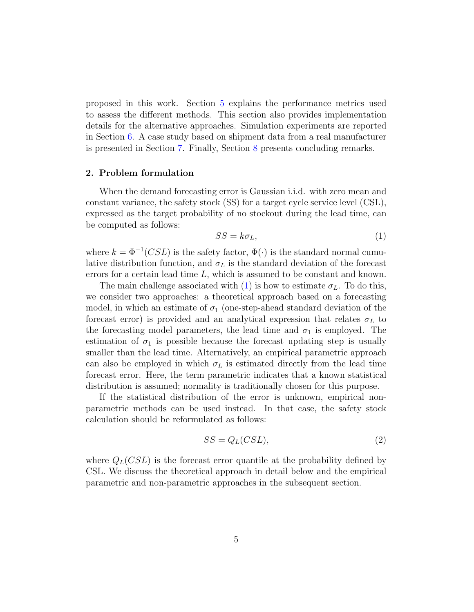proposed in this work. Section [5](#page-9-0) explains the performance metrics used to assess the different methods. This section also provides implementation details for the alternative approaches. Simulation experiments are reported in Section [6.](#page-11-0) A case study based on shipment data from a real manufacturer is presented in Section [7.](#page-22-0) Finally, Section [8](#page-27-0) presents concluding remarks.

## <span id="page-4-0"></span>2. Problem formulation

When the demand forecasting error is Gaussian i.i.d. with zero mean and constant variance, the safety stock (SS) for a target cycle service level (CSL), expressed as the target probability of no stockout during the lead time, can be computed as follows:

<span id="page-4-1"></span>
$$
SS = k\sigma_L,\tag{1}
$$

where  $k = \Phi^{-1}(CSL)$  is the safety factor,  $\Phi(\cdot)$  is the standard normal cumulative distribution function, and  $\sigma_L$  is the standard deviation of the forecast errors for a certain lead time  $L$ , which is assumed to be constant and known.

The main challenge associated with [\(1\)](#page-4-1) is how to estimate  $\sigma_L$ . To do this, we consider two approaches: a theoretical approach based on a forecasting model, in which an estimate of  $\sigma_1$  (one-step-ahead standard deviation of the forecast error) is provided and an analytical expression that relates  $\sigma_L$  to the forecasting model parameters, the lead time and  $\sigma_1$  is employed. The estimation of  $\sigma_1$  is possible because the forecast updating step is usually smaller than the lead time. Alternatively, an empirical parametric approach can also be employed in which  $\sigma_L$  is estimated directly from the lead time forecast error. Here, the term parametric indicates that a known statistical distribution is assumed; normality is traditionally chosen for this purpose.

If the statistical distribution of the error is unknown, empirical nonparametric methods can be used instead. In that case, the safety stock calculation should be reformulated as follows:

<span id="page-4-2"></span>
$$
SS = Q_L(CSL),\tag{2}
$$

where  $Q_L(CSL)$  is the forecast error quantile at the probability defined by CSL. We discuss the theoretical approach in detail below and the empirical parametric and non-parametric approaches in the subsequent section.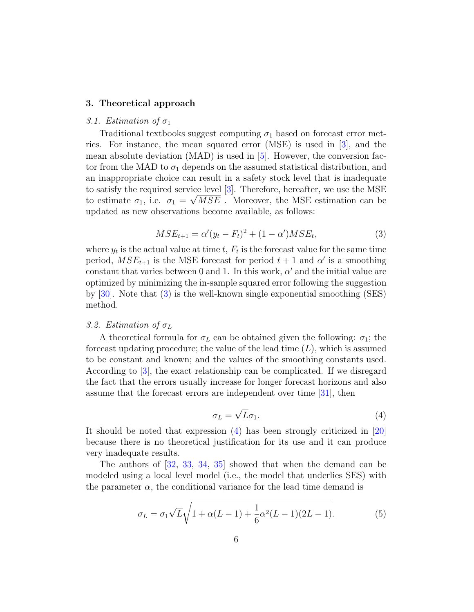## <span id="page-5-0"></span>3. Theoretical approach

## 3.1. Estimation of  $\sigma_1$

Traditional textbooks suggest computing  $\sigma_1$  based on forecast error metrics. For instance, the mean squared error (MSE) is used in [\[3\]](#page-29-1), and the mean absolute deviation  $(MAD)$  is used in  $[5]$ . However, the conversion factor from the MAD to  $\sigma_1$  depends on the assumed statistical distribution, and an inappropriate choice can result in a safety stock level that is inadequate to satisfy the required service level [\[3\]](#page-29-1). Therefore, hereafter, we use the MSE to estimate  $\sigma_1$ , i.e.  $\sigma_1 = \sqrt{MSE}$ . Moreover, the MSE estimation can be updated as new observations become available, as follows:

$$
MSE_{t+1} = \alpha'(y_t - F_t)^2 + (1 - \alpha')MSE_t,
$$
\n(3)

<span id="page-5-1"></span>where  $y_t$  is the actual value at time  $t, F_t$  is the forecast value for the same time period,  $MSE_{t+1}$  is the MSE forecast for period  $t+1$  and  $\alpha'$  is a smoothing constant that varies between 0 and 1. In this work,  $\alpha'$  and the initial value are optimized by minimizing the in-sample squared error following the suggestion by [\[30\]](#page-31-6). Note that [\(3\)](#page-5-1) is the well-known single exponential smoothing (SES) method.

## 3.2. Estimation of  $\sigma_L$

A theoretical formula for  $\sigma_L$  can be obtained given the following:  $\sigma_1$ ; the forecast updating procedure; the value of the lead time  $(L)$ , which is assumed to be constant and known; and the values of the smoothing constants used. According to [\[3\]](#page-29-1), the exact relationship can be complicated. If we disregard the fact that the errors usually increase for longer forecast horizons and also assume that the forecast errors are independent over time [\[31\]](#page-31-7), then

$$
\sigma_L = \sqrt{L}\sigma_1. \tag{4}
$$

<span id="page-5-2"></span>It should be noted that expression [\(4\)](#page-5-2) has been strongly criticized in [\[20\]](#page-30-7) because there is no theoretical justification for its use and it can produce very inadequate results.

<span id="page-5-3"></span>The authors of [\[32,](#page-31-8) [33,](#page-31-9) [34,](#page-31-10) [35\]](#page-32-0) showed that when the demand can be modeled using a local level model (i.e., the model that underlies SES) with the parameter  $\alpha$ , the conditional variance for the lead time demand is

$$
\sigma_L = \sigma_1 \sqrt{L} \sqrt{1 + \alpha (L - 1) + \frac{1}{6} \alpha^2 (L - 1)(2L - 1)}.
$$
 (5)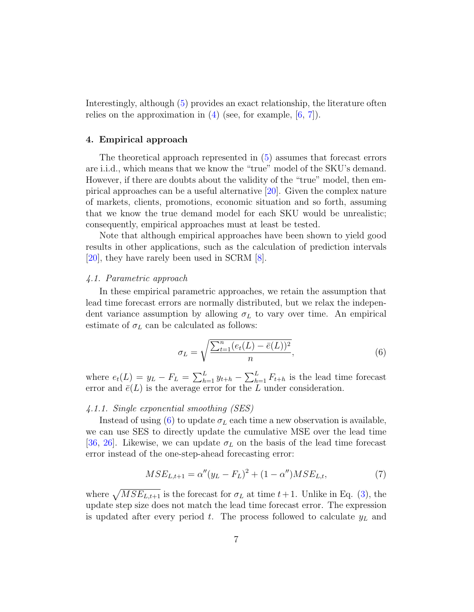Interestingly, although [\(5\)](#page-5-3) provides an exact relationship, the literature often relies on the approximation in  $(4)$  (see, for example,  $[6, 7]$  $[6, 7]$  $[6, 7]$ ).

## <span id="page-6-0"></span>4. Empirical approach

The theoretical approach represented in [\(5\)](#page-5-3) assumes that forecast errors are i.i.d., which means that we know the "true" model of the SKU's demand. However, if there are doubts about the validity of the "true" model, then empirical approaches can be a useful alternative [\[20\]](#page-30-7). Given the complex nature of markets, clients, promotions, economic situation and so forth, assuming that we know the true demand model for each SKU would be unrealistic; consequently, empirical approaches must at least be tested.

Note that although empirical approaches have been shown to yield good results in other applications, such as the calculation of prediction intervals [\[20\]](#page-30-7), they have rarely been used in SCRM [\[8\]](#page-29-6).

#### 4.1. Parametric approach

In these empirical parametric approaches, we retain the assumption that lead time forecast errors are normally distributed, but we relax the independent variance assumption by allowing  $\sigma_L$  to vary over time. An empirical estimate of  $\sigma_L$  can be calculated as follows:

<span id="page-6-1"></span>
$$
\sigma_L = \sqrt{\frac{\sum_{t=1}^{n} (e_t(L) - \bar{e}(L))^2}{n}},
$$
\n(6)

where  $e_t(L) = y_L - F_L = \sum_{h=1}^L y_{t+h} - \sum_{h=1}^L F_{t+h}$  is the lead time forecast error and  $\bar{e}(L)$  is the average error for the L under consideration.

## 4.1.1. Single exponential smoothing (SES)

Instead of using [\(6\)](#page-6-1) to update  $\sigma_L$  each time a new observation is available, we can use SES to directly update the cumulative MSE over the lead time [\[36,](#page-32-1) [26\]](#page-31-2). Likewise, we can update  $\sigma_L$  on the basis of the lead time forecast error instead of the one-step-ahead forecasting error:

<span id="page-6-2"></span>
$$
MSE_{L,t+1} = \alpha''(y_L - F_L)^2 + (1 - \alpha'')MSE_{L,t},\tag{7}
$$

where  $\sqrt{MSE_{L,t+1}}$  is the forecast for  $\sigma_L$  at time  $t+1$ . Unlike in Eq. [\(3\)](#page-5-1), the update step size does not match the lead time forecast error. The expression is updated after every period t. The process followed to calculate  $y_L$  and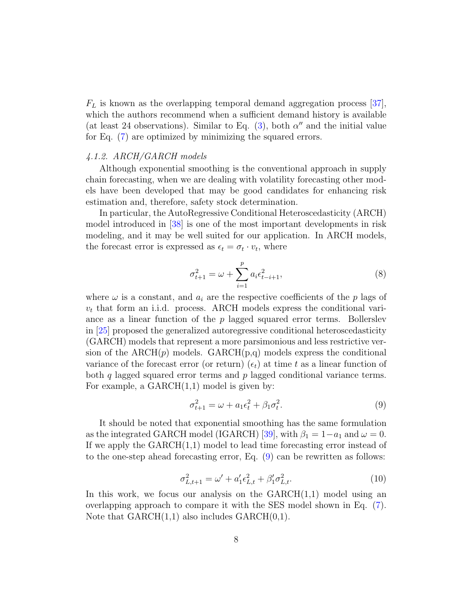$F<sub>L</sub>$  is known as the overlapping temporal demand aggregation process [\[37\]](#page-32-2), which the authors recommend when a sufficient demand history is available (at least 24 observations). Similar to Eq.  $(3)$ , both  $\alpha''$  and the initial value for Eq. [\(7\)](#page-6-2) are optimized by minimizing the squared errors.

## 4.1.2. ARCH/GARCH models

Although exponential smoothing is the conventional approach in supply chain forecasting, when we are dealing with volatility forecasting other models have been developed that may be good candidates for enhancing risk estimation and, therefore, safety stock determination.

In particular, the AutoRegressive Conditional Heteroscedasticity (ARCH) model introduced in [\[38\]](#page-32-3) is one of the most important developments in risk modeling, and it may be well suited for our application. In ARCH models, the forecast error is expressed as  $\epsilon_t = \sigma_t \cdot v_t$ , where

$$
\sigma_{t+1}^2 = \omega + \sum_{i=1}^p a_i \epsilon_{t-i+1}^2,
$$
\n(8)

where  $\omega$  is a constant, and  $a_i$  are the respective coefficients of the p lags of  $v_t$  that form an i.i.d. process. ARCH models express the conditional variance as a linear function of the  $p$  lagged squared error terms. Bollerslev in [\[25\]](#page-31-1) proposed the generalized autoregressive conditional heteroscedasticity (GARCH) models that represent a more parsimonious and less restrictive version of the  $\text{ARCH}(p)$  models.  $\text{GARCH}(p,q)$  models express the conditional variance of the forecast error (or return)  $(\epsilon_t)$  at time t as a linear function of both q lagged squared error terms and  $p$  lagged conditional variance terms. For example, a  $GARCH(1,1)$  model is given by:

<span id="page-7-0"></span>
$$
\sigma_{t+1}^2 = \omega + a_1 \epsilon_t^2 + \beta_1 \sigma_t^2. \tag{9}
$$

It should be noted that exponential smoothing has the same formulation as the integrated GARCH model (IGARCH) [\[39\]](#page-32-4), with  $\beta_1 = 1 - a_1$  and  $\omega = 0$ . If we apply the  $GARCH(1,1)$  model to lead time forecasting error instead of to the one-step ahead forecasting error, Eq. [\(9\)](#page-7-0) can be rewritten as follows:

$$
\sigma_{L,t+1}^2 = \omega' + a_1' \epsilon_{L,t}^2 + \beta_1' \sigma_{L,t}^2.
$$
\n(10)

In this work, we focus our analysis on the  $GARCH(1,1)$  model using an overlapping approach to compare it with the SES model shown in Eq. [\(7\)](#page-6-2). Note that  $GARCH(1,1)$  also includes  $GARCH(0,1)$ .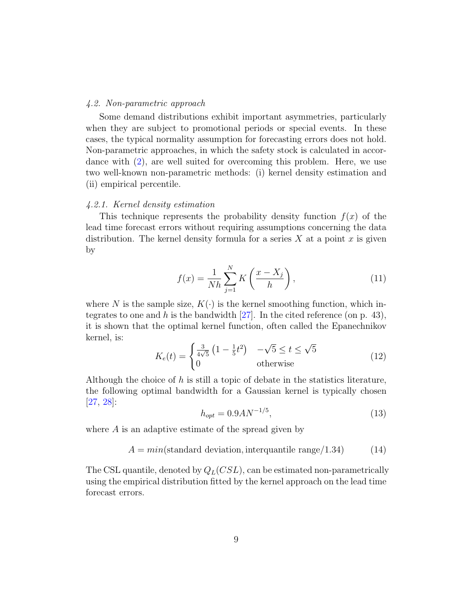#### 4.2. Non-parametric approach

Some demand distributions exhibit important asymmetries, particularly when they are subject to promotional periods or special events. In these cases, the typical normality assumption for forecasting errors does not hold. Non-parametric approaches, in which the safety stock is calculated in accordance with [\(2\)](#page-4-2), are well suited for overcoming this problem. Here, we use two well-known non-parametric methods: (i) kernel density estimation and (ii) empirical percentile.

## 4.2.1. Kernel density estimation

This technique represents the probability density function  $f(x)$  of the lead time forecast errors without requiring assumptions concerning the data distribution. The kernel density formula for a series  $X$  at a point  $x$  is given by

$$
f(x) = \frac{1}{Nh} \sum_{j=1}^{N} K\left(\frac{x - X_j}{h}\right),\tag{11}
$$

where N is the sample size,  $K(\cdot)$  is the kernel smoothing function, which in-tegrates to one and h is the bandwidth [\[27\]](#page-31-3). In the cited reference (on p. 43), it is shown that the optimal kernel function, often called the Epanechnikov kernel, is: √ √

$$
K_e(t) = \begin{cases} \frac{3}{4\sqrt{5}} \left(1 - \frac{1}{5}t^2\right) & -\sqrt{5} \le t \le \sqrt{5} \\ 0 & \text{otherwise} \end{cases} \tag{12}
$$

Although the choice of h is still a topic of debate in the statistics literature, the following optimal bandwidth for a Gaussian kernel is typically chosen [\[27,](#page-31-3) [28\]](#page-31-4):

$$
h_{opt} = 0.9 A N^{-1/5},\tag{13}
$$

where  $A$  is an adaptive estimate of the spread given by

$$
A = min(\text{standard deviation}, \text{interquantile range}/1.34) \tag{14}
$$

The CSL quantile, denoted by  $Q_L(CSL)$ , can be estimated non-parametrically using the empirical distribution fitted by the kernel approach on the lead time forecast errors.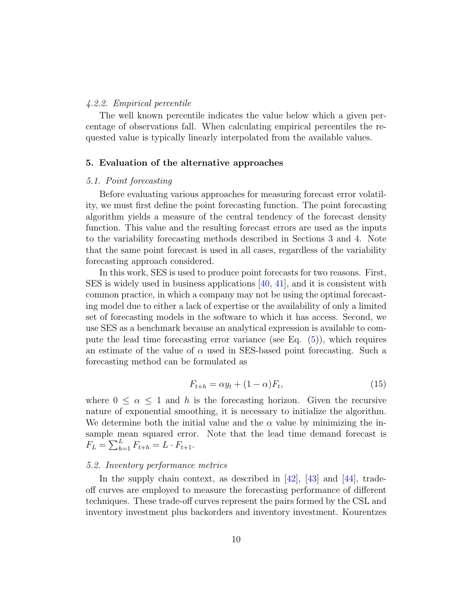#### 4.2.2. Empirical percentile

The well known percentile indicates the value below which a given percentage of observations fall. When calculating empirical percentiles the requested value is typically linearly interpolated from the available values.

#### <span id="page-9-0"></span>5. Evaluation of the alternative approaches

#### 5.1. Point forecasting

Before evaluating various approaches for measuring forecast error volatility, we must first define the point forecasting function. The point forecasting algorithm yields a measure of the central tendency of the forecast density function. This value and the resulting forecast errors are used as the inputs to the variability forecasting methods described in Sections 3 and 4. Note that the same point forecast is used in all cases, regardless of the variability forecasting approach considered.

In this work, SES is used to produce point forecasts for two reasons. First, SES is widely used in business applications [\[40,](#page-32-5) [41\]](#page-32-6), and it is consistent with common practice, in which a company may not be using the optimal forecasting model due to either a lack of expertise or the availability of only a limited set of forecasting models in the software to which it has access. Second, we use SES as a benchmark because an analytical expression is available to compute the lead time forecasting error variance (see Eq.  $(5)$ ), which requires an estimate of the value of  $\alpha$  used in SES-based point forecasting. Such a forecasting method can be formulated as

$$
F_{t+h} = \alpha y_t + (1 - \alpha) F_t,\tag{15}
$$

where  $0 \leq \alpha \leq 1$  and h is the forecasting horizon. Given the recursive nature of exponential smoothing, it is necessary to initialize the algorithm. We determine both the initial value and the  $\alpha$  value by minimizing the insample mean squared error. Note that the lead time demand forecast is  $F_L = \sum_{h=1}^{L} F_{t+h} = L \cdot F_{t+1}.$ 

#### 5.2. Inventory performance metrics

In the supply chain context, as described in [\[42\]](#page-32-7), [\[43\]](#page-32-8) and [\[44\]](#page-32-9), tradeoff curves are employed to measure the forecasting performance of different techniques. These trade-off curves represent the pairs formed by the CSL and inventory investment plus backorders and inventory investment. Kourentzes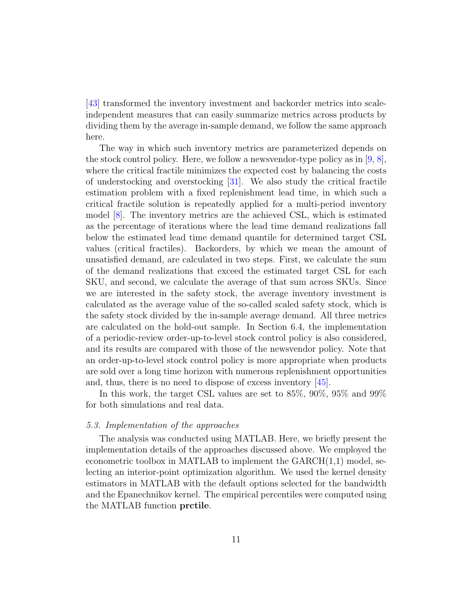[\[43\]](#page-32-8) transformed the inventory investment and backorder metrics into scaleindependent measures that can easily summarize metrics across products by dividing them by the average in-sample demand, we follow the same approach here.

The way in which such inventory metrics are parameterized depends on the stock control policy. Here, we follow a newsvendor-type policy as in  $[9, 8]$  $[9, 8]$  $[9, 8]$ , where the critical fractile minimizes the expected cost by balancing the costs of understocking and overstocking [\[31\]](#page-31-7). We also study the critical fractile estimation problem with a fixed replenishment lead time, in which such a critical fractile solution is repeatedly applied for a multi-period inventory model [\[8\]](#page-29-6). The inventory metrics are the achieved CSL, which is estimated as the percentage of iterations where the lead time demand realizations fall below the estimated lead time demand quantile for determined target CSL values (critical fractiles). Backorders, by which we mean the amount of unsatisfied demand, are calculated in two steps. First, we calculate the sum of the demand realizations that exceed the estimated target CSL for each SKU, and second, we calculate the average of that sum across SKUs. Since we are interested in the safety stock, the average inventory investment is calculated as the average value of the so-called scaled safety stock, which is the safety stock divided by the in-sample average demand. All three metrics are calculated on the hold-out sample. In Section 6.4, the implementation of a periodic-review order-up-to-level stock control policy is also considered, and its results are compared with those of the newsvendor policy. Note that an order-up-to-level stock control policy is more appropriate when products are sold over a long time horizon with numerous replenishment opportunities and, thus, there is no need to dispose of excess inventory [\[45\]](#page-32-10).

In this work, the target CSL values are set to 85%, 90%, 95% and 99% for both simulations and real data.

## 5.3. Implementation of the approaches

The analysis was conducted using MATLAB. Here, we briefly present the implementation details of the approaches discussed above. We employed the econometric toolbox in MATLAB to implement the GARCH(1,1) model, selecting an interior-point optimization algorithm. We used the kernel density estimators in MATLAB with the default options selected for the bandwidth and the Epanechnikov kernel. The empirical percentiles were computed using the MATLAB function prctile.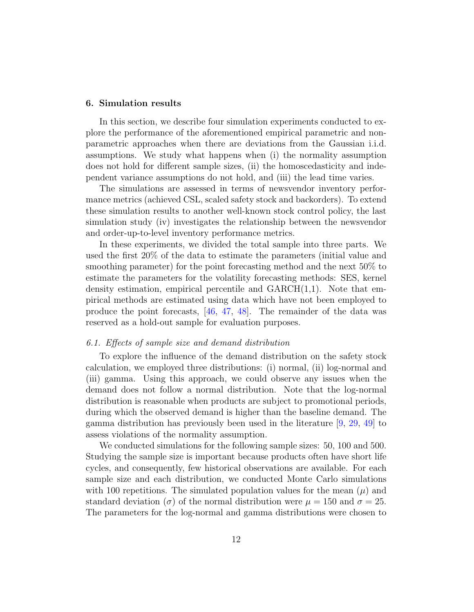## <span id="page-11-0"></span>6. Simulation results

In this section, we describe four simulation experiments conducted to explore the performance of the aforementioned empirical parametric and nonparametric approaches when there are deviations from the Gaussian i.i.d. assumptions. We study what happens when (i) the normality assumption does not hold for different sample sizes, (ii) the homoscedasticity and independent variance assumptions do not hold, and (iii) the lead time varies.

The simulations are assessed in terms of newsvendor inventory performance metrics (achieved CSL, scaled safety stock and backorders). To extend these simulation results to another well-known stock control policy, the last simulation study (iv) investigates the relationship between the newsvendor and order-up-to-level inventory performance metrics.

In these experiments, we divided the total sample into three parts. We used the first 20% of the data to estimate the parameters (initial value and smoothing parameter) for the point forecasting method and the next 50% to estimate the parameters for the volatility forecasting methods: SES, kernel density estimation, empirical percentile and  $GARCH(1,1)$ . Note that empirical methods are estimated using data which have not been employed to produce the point forecasts, [\[46,](#page-32-11) [47,](#page-33-0) [48\]](#page-33-1). The remainder of the data was reserved as a hold-out sample for evaluation purposes.

#### 6.1. Effects of sample size and demand distribution

To explore the influence of the demand distribution on the safety stock calculation, we employed three distributions: (i) normal, (ii) log-normal and (iii) gamma. Using this approach, we could observe any issues when the demand does not follow a normal distribution. Note that the log-normal distribution is reasonable when products are subject to promotional periods, during which the observed demand is higher than the baseline demand. The gamma distribution has previously been used in the literature [\[9,](#page-29-7) [29,](#page-31-5) [49\]](#page-33-2) to assess violations of the normality assumption.

We conducted simulations for the following sample sizes: 50, 100 and 500. Studying the sample size is important because products often have short life cycles, and consequently, few historical observations are available. For each sample size and each distribution, we conducted Monte Carlo simulations with 100 repetitions. The simulated population values for the mean  $(\mu)$  and standard deviation ( $\sigma$ ) of the normal distribution were  $\mu = 150$  and  $\sigma = 25$ . The parameters for the log-normal and gamma distributions were chosen to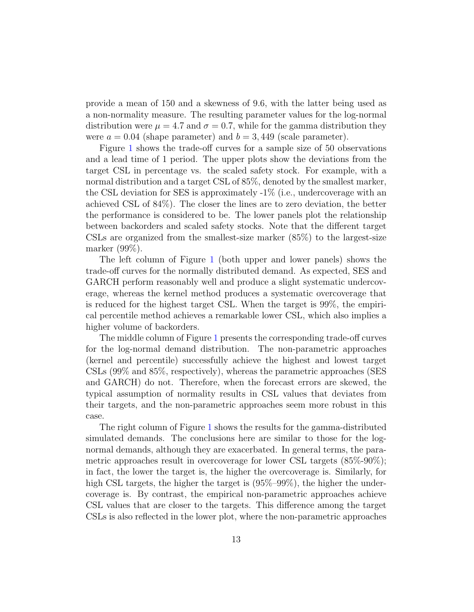provide a mean of 150 and a skewness of 9.6, with the latter being used as a non-normality measure. The resulting parameter values for the log-normal distribution were  $\mu = 4.7$  and  $\sigma = 0.7$ , while for the gamma distribution they were  $a = 0.04$  (shape parameter) and  $b = 3,449$  (scale parameter).

Figure [1](#page-13-0) shows the trade-off curves for a sample size of 50 observations and a lead time of 1 period. The upper plots show the deviations from the target CSL in percentage vs. the scaled safety stock. For example, with a normal distribution and a target CSL of 85%, denoted by the smallest marker, the CSL deviation for SES is approximately -1% (i.e., undercoverage with an achieved CSL of 84%). The closer the lines are to zero deviation, the better the performance is considered to be. The lower panels plot the relationship between backorders and scaled safety stocks. Note that the different target CSLs are organized from the smallest-size marker  $(85\%)$  to the largest-size marker (99%).

The left column of Figure [1](#page-13-0) (both upper and lower panels) shows the trade-off curves for the normally distributed demand. As expected, SES and GARCH perform reasonably well and produce a slight systematic undercoverage, whereas the kernel method produces a systematic overcoverage that is reduced for the highest target CSL. When the target is 99%, the empirical percentile method achieves a remarkable lower CSL, which also implies a higher volume of backorders.

The middle column of Figure [1](#page-13-0) presents the corresponding trade-off curves for the log-normal demand distribution. The non-parametric approaches (kernel and percentile) successfully achieve the highest and lowest target CSLs (99% and 85%, respectively), whereas the parametric approaches (SES and GARCH) do not. Therefore, when the forecast errors are skewed, the typical assumption of normality results in CSL values that deviates from their targets, and the non-parametric approaches seem more robust in this case.

The right column of Figure [1](#page-13-0) shows the results for the gamma-distributed simulated demands. The conclusions here are similar to those for the lognormal demands, although they are exacerbated. In general terms, the parametric approaches result in overcoverage for lower CSL targets (85%-90%); in fact, the lower the target is, the higher the overcoverage is. Similarly, for high CSL targets, the higher the target is  $(95\text{\textdegree}-99\text{\textdegree}),$  the higher the undercoverage is. By contrast, the empirical non-parametric approaches achieve CSL values that are closer to the targets. This difference among the target CSLs is also reflected in the lower plot, where the non-parametric approaches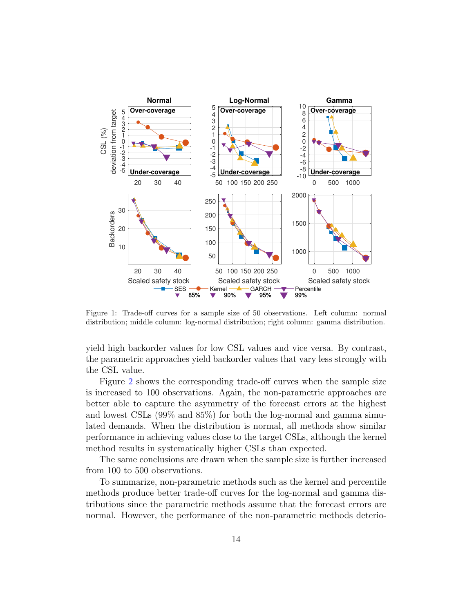

<span id="page-13-0"></span>Figure 1: Trade-off curves for a sample size of 50 observations. Left column: normal distribution; middle column: log-normal distribution; right column: gamma distribution.

yield high backorder values for low CSL values and vice versa. By contrast, the parametric approaches yield backorder values that vary less strongly with the CSL value.

Figure [2](#page-14-0) shows the corresponding trade-off curves when the sample size is increased to 100 observations. Again, the non-parametric approaches are better able to capture the asymmetry of the forecast errors at the highest and lowest CSLs (99% and 85%) for both the log-normal and gamma simulated demands. When the distribution is normal, all methods show similar performance in achieving values close to the target CSLs, although the kernel method results in systematically higher CSLs than expected.

The same conclusions are drawn when the sample size is further increased from 100 to 500 observations.

To summarize, non-parametric methods such as the kernel and percentile methods produce better trade-off curves for the log-normal and gamma distributions since the parametric methods assume that the forecast errors are normal. However, the performance of the non-parametric methods deterio-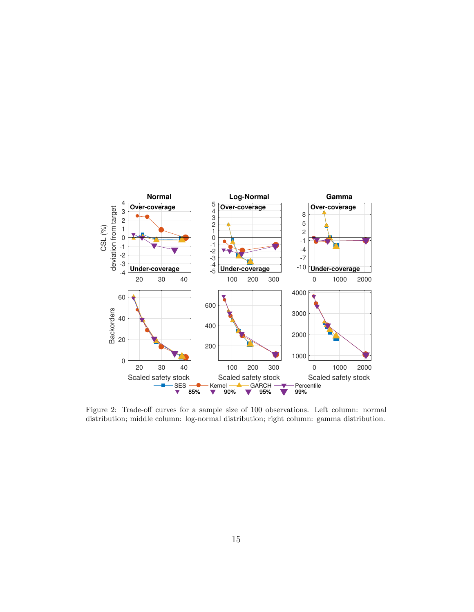

<span id="page-14-0"></span>Figure 2: Trade-off curves for a sample size of 100 observations. Left column: normal distribution; middle column: log-normal distribution; right column: gamma distribution.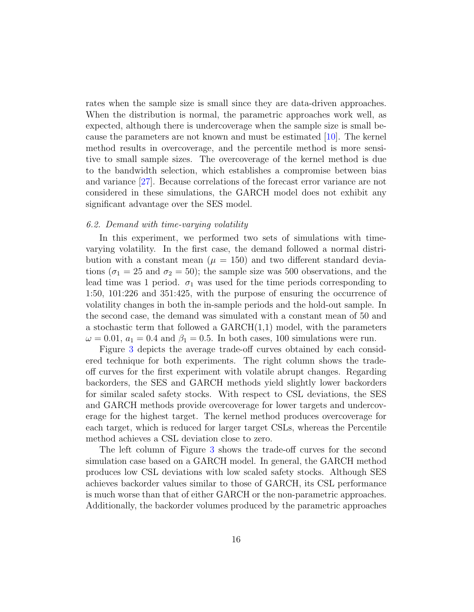rates when the sample size is small since they are data-driven approaches. When the distribution is normal, the parametric approaches work well, as expected, although there is undercoverage when the sample size is small because the parameters are not known and must be estimated [\[10\]](#page-29-8). The kernel method results in overcoverage, and the percentile method is more sensitive to small sample sizes. The overcoverage of the kernel method is due to the bandwidth selection, which establishes a compromise between bias and variance [\[27\]](#page-31-3). Because correlations of the forecast error variance are not considered in these simulations, the GARCH model does not exhibit any significant advantage over the SES model.

## 6.2. Demand with time-varying volatility

In this experiment, we performed two sets of simulations with timevarying volatility. In the first case, the demand followed a normal distribution with a constant mean  $(\mu = 150)$  and two different standard deviations ( $\sigma_1 = 25$  and  $\sigma_2 = 50$ ); the sample size was 500 observations, and the lead time was 1 period.  $\sigma_1$  was used for the time periods corresponding to 1:50, 101:226 and 351:425, with the purpose of ensuring the occurrence of volatility changes in both the in-sample periods and the hold-out sample. In the second case, the demand was simulated with a constant mean of 50 and a stochastic term that followed a GARCH(1,1) model, with the parameters  $\omega = 0.01$ ,  $a_1 = 0.4$  and  $\beta_1 = 0.5$ . In both cases, 100 simulations were run.

Figure [3](#page-17-0) depicts the average trade-off curves obtained by each considered technique for both experiments. The right column shows the tradeoff curves for the first experiment with volatile abrupt changes. Regarding backorders, the SES and GARCH methods yield slightly lower backorders for similar scaled safety stocks. With respect to CSL deviations, the SES and GARCH methods provide overcoverage for lower targets and undercoverage for the highest target. The kernel method produces overcoverage for each target, which is reduced for larger target CSLs, whereas the Percentile method achieves a CSL deviation close to zero.

The left column of Figure [3](#page-17-0) shows the trade-off curves for the second simulation case based on a GARCH model. In general, the GARCH method produces low CSL deviations with low scaled safety stocks. Although SES achieves backorder values similar to those of GARCH, its CSL performance is much worse than that of either GARCH or the non-parametric approaches. Additionally, the backorder volumes produced by the parametric approaches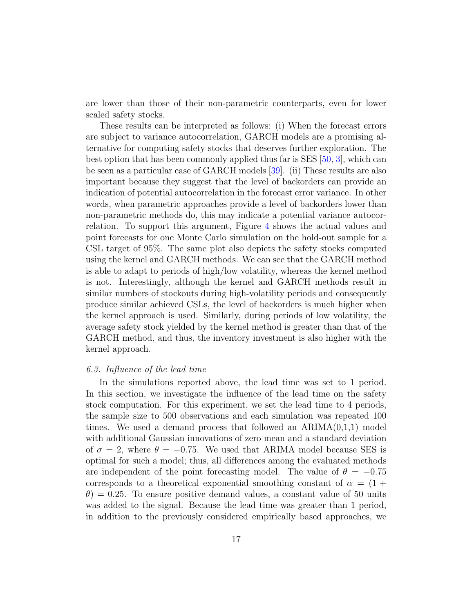are lower than those of their non-parametric counterparts, even for lower scaled safety stocks.

These results can be interpreted as follows: (i) When the forecast errors are subject to variance autocorrelation, GARCH models are a promising alternative for computing safety stocks that deserves further exploration. The best option that has been commonly applied thus far is SES  $[50, 3]$  $[50, 3]$  $[50, 3]$ , which can be seen as a particular case of GARCH models [\[39\]](#page-32-4). (ii) These results are also important because they suggest that the level of backorders can provide an indication of potential autocorrelation in the forecast error variance. In other words, when parametric approaches provide a level of backorders lower than non-parametric methods do, this may indicate a potential variance autocorrelation. To support this argument, Figure [4](#page-18-0) shows the actual values and point forecasts for one Monte Carlo simulation on the hold-out sample for a CSL target of 95%. The same plot also depicts the safety stocks computed using the kernel and GARCH methods. We can see that the GARCH method is able to adapt to periods of high/low volatility, whereas the kernel method is not. Interestingly, although the kernel and GARCH methods result in similar numbers of stockouts during high-volatility periods and consequently produce similar achieved CSLs, the level of backorders is much higher when the kernel approach is used. Similarly, during periods of low volatility, the average safety stock yielded by the kernel method is greater than that of the GARCH method, and thus, the inventory investment is also higher with the kernel approach.

## 6.3. Influence of the lead time

In the simulations reported above, the lead time was set to 1 period. In this section, we investigate the influence of the lead time on the safety stock computation. For this experiment, we set the lead time to 4 periods, the sample size to 500 observations and each simulation was repeated 100 times. We used a demand process that followed an  $ARIMA(0,1,1)$  model with additional Gaussian innovations of zero mean and a standard deviation of  $\sigma = 2$ , where  $\theta = -0.75$ . We used that ARIMA model because SES is optimal for such a model; thus, all differences among the evaluated methods are independent of the point forecasting model. The value of  $\theta = -0.75$ corresponds to a theoretical exponential smoothing constant of  $\alpha = (1 +$  $\theta$ ) = 0.25. To ensure positive demand values, a constant value of 50 units was added to the signal. Because the lead time was greater than 1 period, in addition to the previously considered empirically based approaches, we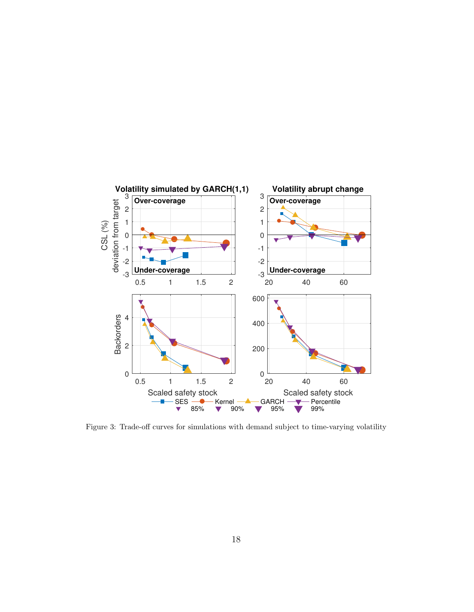

<span id="page-17-0"></span>Figure 3: Trade-off curves for simulations with demand subject to time-varying volatility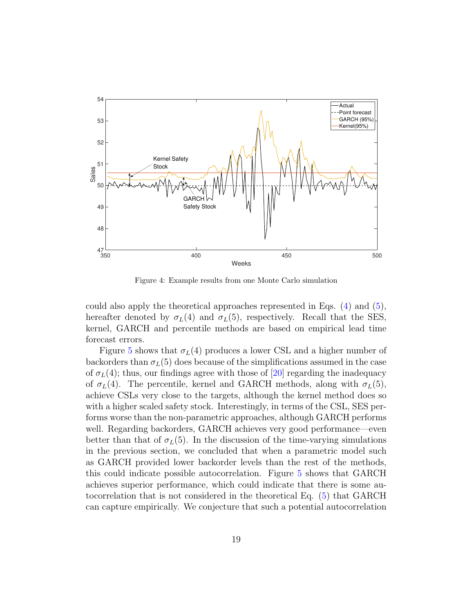

<span id="page-18-0"></span>Figure 4: Example results from one Monte Carlo simulation

could also apply the theoretical approaches represented in Eqs. [\(4\)](#page-5-2) and [\(5\)](#page-5-3), hereafter denoted by  $\sigma_L(4)$  and  $\sigma_L(5)$ , respectively. Recall that the SES, kernel, GARCH and percentile methods are based on empirical lead time forecast errors.

Figure [5](#page-19-0) shows that  $\sigma_L(4)$  produces a lower CSL and a higher number of backorders than  $\sigma_L(5)$  does because of the simplifications assumed in the case of  $\sigma_L(4)$ ; thus, our findings agree with those of [\[20\]](#page-30-7) regarding the inadequacy of  $\sigma_L(4)$ . The percentile, kernel and GARCH methods, along with  $\sigma_L(5)$ , achieve CSLs very close to the targets, although the kernel method does so with a higher scaled safety stock. Interestingly, in terms of the CSL, SES performs worse than the non-parametric approaches, although GARCH performs well. Regarding backorders, GARCH achieves very good performance—even better than that of  $\sigma_L(5)$ . In the discussion of the time-varying simulations in the previous section, we concluded that when a parametric model such as GARCH provided lower backorder levels than the rest of the methods, this could indicate possible autocorrelation. Figure [5](#page-19-0) shows that GARCH achieves superior performance, which could indicate that there is some autocorrelation that is not considered in the theoretical Eq. [\(5\)](#page-5-3) that GARCH can capture empirically. We conjecture that such a potential autocorrelation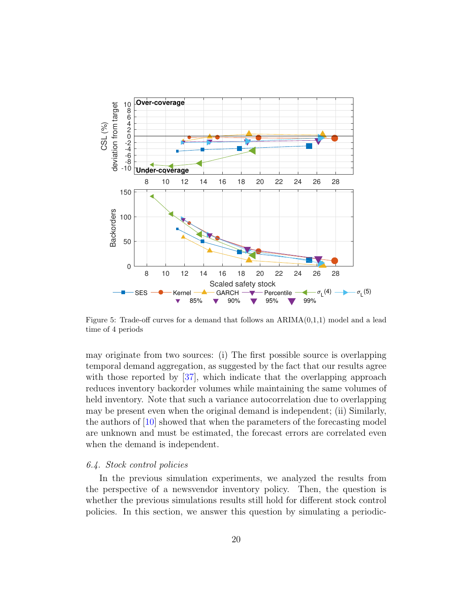

<span id="page-19-0"></span>Figure 5: Trade-off curves for a demand that follows an  $ARIMA(0,1,1)$  model and a lead time of 4 periods

may originate from two sources: (i) The first possible source is overlapping temporal demand aggregation, as suggested by the fact that our results agree with those reported by [\[37\]](#page-32-2), which indicate that the overlapping approach reduces inventory backorder volumes while maintaining the same volumes of held inventory. Note that such a variance autocorrelation due to overlapping may be present even when the original demand is independent; (ii) Similarly, the authors of [\[10\]](#page-29-8) showed that when the parameters of the forecasting model are unknown and must be estimated, the forecast errors are correlated even when the demand is independent.

## 6.4. Stock control policies

In the previous simulation experiments, we analyzed the results from the perspective of a newsvendor inventory policy. Then, the question is whether the previous simulations results still hold for different stock control policies. In this section, we answer this question by simulating a periodic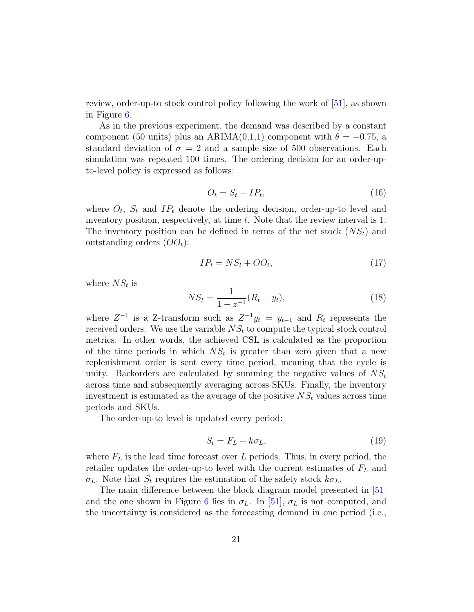review, order-up-to stock control policy following the work of [\[51\]](#page-33-4), as shown in Figure [6.](#page-21-0)

As in the previous experiment, the demand was described by a constant component (50 units) plus an ARIMA(0,1,1) component with  $\theta = -0.75$ , a standard deviation of  $\sigma = 2$  and a sample size of 500 observations. Each simulation was repeated 100 times. The ordering decision for an order-upto-level policy is expressed as follows:

$$
O_t = S_t - IP_t,\tag{16}
$$

where  $O_t$ ,  $S_t$  and  $IP_t$  denote the ordering decision, order-up-to level and inventory position, respectively, at time t. Note that the review interval is 1. The inventory position can be defined in terms of the net stock  $(NS_t)$  and outstanding orders  $(OO_t)$ :

$$
IP_t = NS_t + OO_t,\tag{17}
$$

where  $NS_t$  is

$$
NS_t = \frac{1}{1 - z^{-1}} (R_t - y_t), \tag{18}
$$

where  $Z^{-1}$  is a Z-transform such as  $Z^{-1}y_t = y_{t-1}$  and  $R_t$  represents the received orders. We use the variable  $NS<sub>t</sub>$  to compute the typical stock control metrics. In other words, the achieved CSL is calculated as the proportion of the time periods in which  $NS<sub>t</sub>$  is greater than zero given that a new replenishment order is sent every time period, meaning that the cycle is unity. Backorders are calculated by summing the negative values of  $NS<sub>t</sub>$ across time and subsequently averaging across SKUs. Finally, the inventory investment is estimated as the average of the positive  $NS<sub>t</sub>$  values across time periods and SKUs.

The order-up-to level is updated every period:

$$
S_t = F_L + k\sigma_L,\tag{19}
$$

where  $F<sub>L</sub>$  is the lead time forecast over L periods. Thus, in every period, the retailer updates the order-up-to level with the current estimates of  $F<sub>L</sub>$  and  $\sigma_L$ . Note that  $S_t$  requires the estimation of the safety stock  $k\sigma_L$ .

The main difference between the block diagram model presented in [\[51\]](#page-33-4) and the one shown in Figure [6](#page-21-0) lies in  $\sigma_L$ . In [\[51\]](#page-33-4),  $\sigma_L$  is not computed, and the uncertainty is considered as the forecasting demand in one period (i.e.,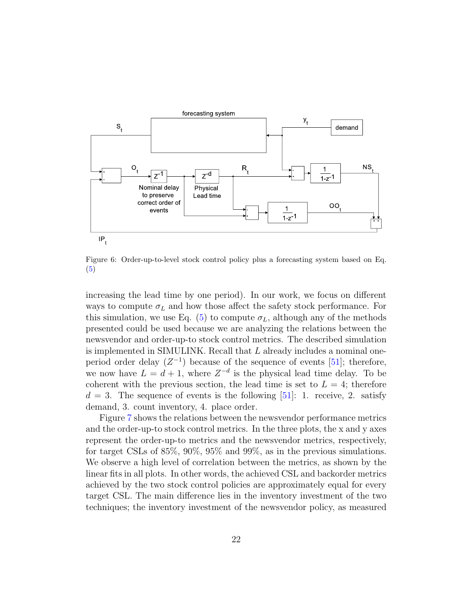

<span id="page-21-0"></span>Figure 6: Order-up-to-level stock control policy plus a forecasting system based on Eq. [\(5\)](#page-5-3)

increasing the lead time by one period). In our work, we focus on different ways to compute  $\sigma_L$  and how those affect the safety stock performance. For this simulation, we use Eq. [\(5\)](#page-5-3) to compute  $\sigma_L$ , although any of the methods presented could be used because we are analyzing the relations between the newsvendor and order-up-to stock control metrics. The described simulation is implemented in SIMULINK. Recall that L already includes a nominal oneperiod order delay  $(Z^{-1})$  because of the sequence of events [\[51\]](#page-33-4); therefore, we now have  $L = d + 1$ , where  $Z^{-d}$  is the physical lead time delay. To be coherent with the previous section, the lead time is set to  $L = 4$ ; therefore  $d = 3$ . The sequence of events is the following [\[51\]](#page-33-4): 1. receive, 2. satisfy demand, 3. count inventory, 4. place order.

Figure [7](#page-22-1) shows the relations between the newsvendor performance metrics and the order-up-to stock control metrics. In the three plots, the x and y axes represent the order-up-to metrics and the newsvendor metrics, respectively, for target CSLs of 85%, 90%, 95% and 99%, as in the previous simulations. We observe a high level of correlation between the metrics, as shown by the linear fits in all plots. In other words, the achieved CSL and backorder metrics achieved by the two stock control policies are approximately equal for every target CSL. The main difference lies in the inventory investment of the two techniques; the inventory investment of the newsvendor policy, as measured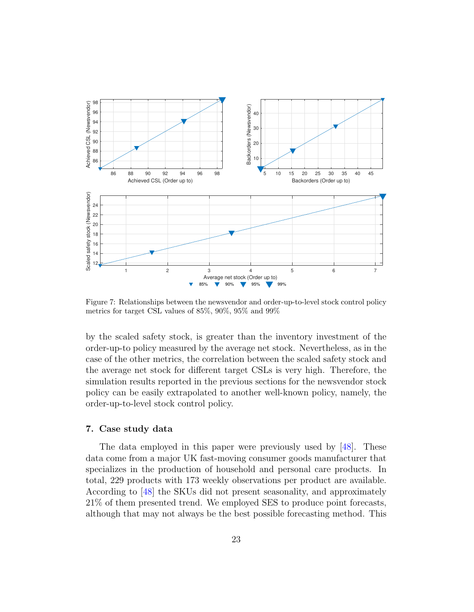

<span id="page-22-1"></span>Figure 7: Relationships between the newsvendor and order-up-to-level stock control policy metrics for target CSL values of 85%, 90%, 95% and 99%

by the scaled safety stock, is greater than the inventory investment of the order-up-to policy measured by the average net stock. Nevertheless, as in the case of the other metrics, the correlation between the scaled safety stock and the average net stock for different target CSLs is very high. Therefore, the simulation results reported in the previous sections for the newsvendor stock policy can be easily extrapolated to another well-known policy, namely, the order-up-to-level stock control policy.

# <span id="page-22-0"></span>7. Case study data

The data employed in this paper were previously used by [\[48\]](#page-33-1). These data come from a major UK fast-moving consumer goods manufacturer that specializes in the production of household and personal care products. In total, 229 products with 173 weekly observations per product are available. According to [\[48\]](#page-33-1) the SKUs did not present seasonality, and approximately 21% of them presented trend. We employed SES to produce point forecasts, although that may not always be the best possible forecasting method. This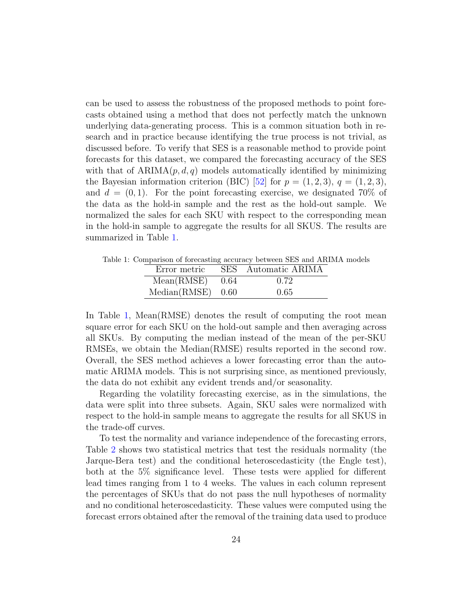can be used to assess the robustness of the proposed methods to point forecasts obtained using a method that does not perfectly match the unknown underlying data-generating process. This is a common situation both in research and in practice because identifying the true process is not trivial, as discussed before. To verify that SES is a reasonable method to provide point forecasts for this dataset, we compared the forecasting accuracy of the SES with that of  $ARIMA(p, d, q)$  models automatically identified by minimizing the Bayesian information criterion (BIC) [\[52\]](#page-33-5) for  $p = (1, 2, 3), q = (1, 2, 3)$ , and  $d = (0, 1)$ . For the point forecasting exercise, we designated 70% of the data as the hold-in sample and the rest as the hold-out sample. We normalized the sales for each SKU with respect to the corresponding mean in the hold-in sample to aggregate the results for all SKUS. The results are summarized in Table [1.](#page-23-0)

Table 1: Comparison of forecasting accuracy between SES and ARIMA models

<span id="page-23-0"></span>

| Error metric        | SES Automatic ARIMA |
|---------------------|---------------------|
| $Mean(RMSE)$ 0.64   | 0.72                |
| $Median(RMSE)$ 0.60 | 0.65                |

In Table [1,](#page-23-0) Mean(RMSE) denotes the result of computing the root mean square error for each SKU on the hold-out sample and then averaging across all SKUs. By computing the median instead of the mean of the per-SKU RMSEs, we obtain the Median(RMSE) results reported in the second row. Overall, the SES method achieves a lower forecasting error than the automatic ARIMA models. This is not surprising since, as mentioned previously, the data do not exhibit any evident trends and/or seasonality.

Regarding the volatility forecasting exercise, as in the simulations, the data were split into three subsets. Again, SKU sales were normalized with respect to the hold-in sample means to aggregate the results for all SKUS in the trade-off curves.

To test the normality and variance independence of the forecasting errors, Table [2](#page-24-0) shows two statistical metrics that test the residuals normality (the Jarque-Bera test) and the conditional heteroscedasticity (the Engle test), both at the 5% significance level. These tests were applied for different lead times ranging from 1 to 4 weeks. The values in each column represent the percentages of SKUs that do not pass the null hypotheses of normality and no conditional heteroscedasticity. These values were computed using the forecast errors obtained after the removal of the training data used to produce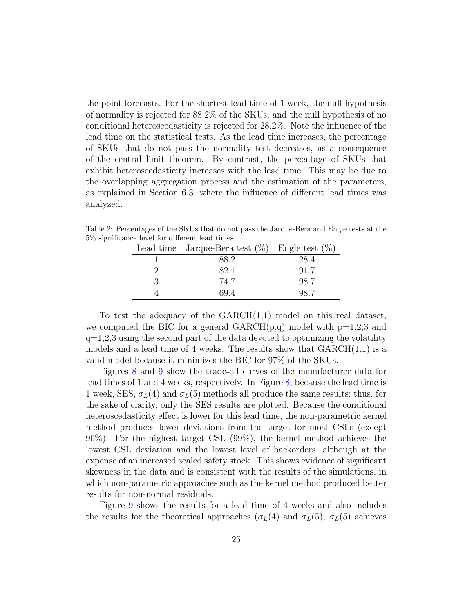the point forecasts. For the shortest lead time of 1 week, the null hypothesis of normality is rejected for 88.2% of the SKUs, and the null hypothesis of no conditional heteroscedasticity is rejected for 28.2%. Note the influence of the lead time on the statistical tests. As the lead time increases, the percentage of SKUs that do not pass the normality test decreases, as a consequence of the central limit theorem. By contrast, the percentage of SKUs that exhibit heteroscedasticity increases with the lead time. This may be due to the overlapping aggregation process and the estimation of the parameters, as explained in Section 6.3, where the influence of different lead times was analyzed.

<span id="page-24-0"></span>

|  | Lead time Jarque-Bera test $(\%)$ Engle test $(\%)$ |      |
|--|-----------------------------------------------------|------|
|  | 88.2                                                | 28.4 |
|  | 82.1                                                | 91.7 |
|  | 74.7                                                | 98.7 |
|  | 694                                                 |      |

Table 2: Percentages of the SKUs that do not pass the Jarque-Bera and Engle tests at the 5% significance level for different lead times

To test the adequacy of the  $GARCH(1,1)$  model on this real dataset, we computed the BIC for a general  $GARCH(p,q)$  model with  $p=1,2,3$  and  $q=1,2,3$  using the second part of the data devoted to optimizing the volatility models and a lead time of 4 weeks. The results show that  $GARCH(1,1)$  is a valid model because it minimizes the BIC for 97% of the SKUs.

Figures [8](#page-25-0) and [9](#page-26-0) show the trade-off curves of the manufacturer data for lead times of 1 and 4 weeks, respectively. In Figure [8,](#page-25-0) because the lead time is 1 week, SES,  $\sigma_L(4)$  and  $\sigma_L(5)$  methods all produce the same results; thus, for the sake of clarity, only the SES results are plotted. Because the conditional heteroscedasticity effect is lower for this lead time, the non-parametric kernel method produces lower deviations from the target for most CSLs (except 90%). For the highest target CSL (99%), the kernel method achieves the lowest CSL deviation and the lowest level of backorders, although at the expense of an increased scaled safety stock. This shows evidence of significant skewness in the data and is consistent with the results of the simulations, in which non-parametric approaches such as the kernel method produced better results for non-normal residuals.

Figure [9](#page-26-0) shows the results for a lead time of 4 weeks and also includes the results for the theoretical approaches ( $\sigma_L(4)$  and  $\sigma_L(5)$ ;  $\sigma_L(5)$  achieves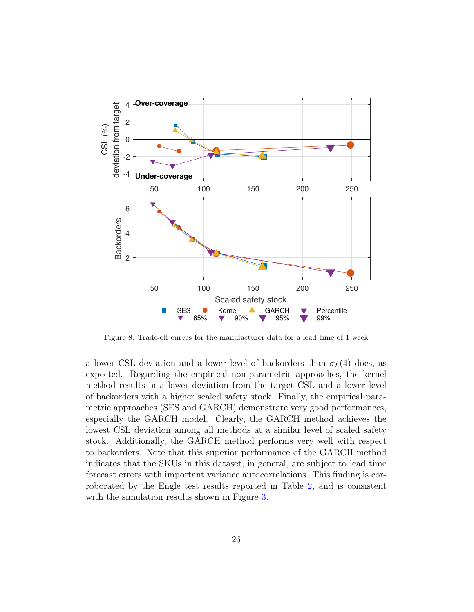

<span id="page-25-0"></span>Figure 8: Trade-off curves for the manufacturer data for a lead time of 1 week

a lower CSL deviation and a lower level of backorders than  $\sigma_L(4)$  does, as expected. Regarding the empirical non-parametric approaches, the kernel method results in a lower deviation from the target CSL and a lower level of backorders with a higher scaled safety stock. Finally, the empirical parametric approaches (SES and GARCH) demonstrate very good performances, especially the GARCH model. Clearly, the GARCH method achieves the lowest CSL deviation among all methods at a similar level of scaled safety stock. Additionally, the GARCH method performs very well with respect to backorders. Note that this superior performance of the GARCH method indicates that the SKUs in this dataset, in general, are subject to lead time forecast errors with important variance autocorrelations. This finding is corroborated by the Engle test results reported in Table [2,](#page-24-0) and is consistent with the simulation results shown in Figure [3.](#page-17-0)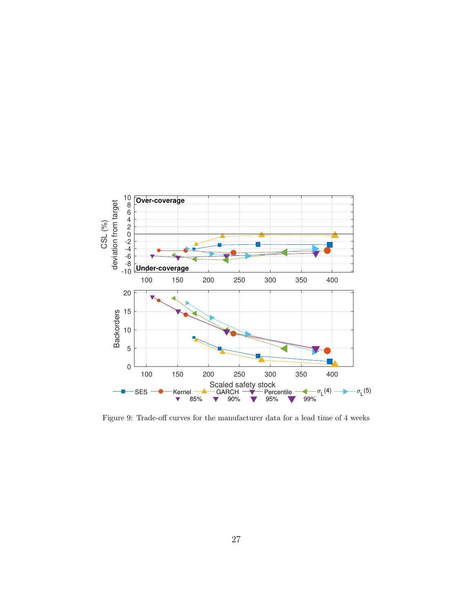

<span id="page-26-0"></span>Figure 9: Trade-off curves for the manufacturer data for a lead time of 4 weeks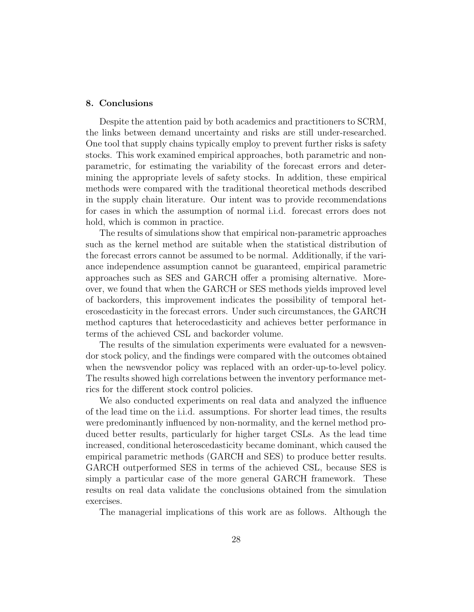## <span id="page-27-0"></span>8. Conclusions

Despite the attention paid by both academics and practitioners to SCRM, the links between demand uncertainty and risks are still under-researched. One tool that supply chains typically employ to prevent further risks is safety stocks. This work examined empirical approaches, both parametric and nonparametric, for estimating the variability of the forecast errors and determining the appropriate levels of safety stocks. In addition, these empirical methods were compared with the traditional theoretical methods described in the supply chain literature. Our intent was to provide recommendations for cases in which the assumption of normal i.i.d. forecast errors does not hold, which is common in practice.

The results of simulations show that empirical non-parametric approaches such as the kernel method are suitable when the statistical distribution of the forecast errors cannot be assumed to be normal. Additionally, if the variance independence assumption cannot be guaranteed, empirical parametric approaches such as SES and GARCH offer a promising alternative. Moreover, we found that when the GARCH or SES methods yields improved level of backorders, this improvement indicates the possibility of temporal heteroscedasticity in the forecast errors. Under such circumstances, the GARCH method captures that heterocedasticity and achieves better performance in terms of the achieved CSL and backorder volume.

The results of the simulation experiments were evaluated for a newsvendor stock policy, and the findings were compared with the outcomes obtained when the newsvendor policy was replaced with an order-up-to-level policy. The results showed high correlations between the inventory performance metrics for the different stock control policies.

We also conducted experiments on real data and analyzed the influence of the lead time on the i.i.d. assumptions. For shorter lead times, the results were predominantly influenced by non-normality, and the kernel method produced better results, particularly for higher target CSLs. As the lead time increased, conditional heteroscedasticity became dominant, which caused the empirical parametric methods (GARCH and SES) to produce better results. GARCH outperformed SES in terms of the achieved CSL, because SES is simply a particular case of the more general GARCH framework. These results on real data validate the conclusions obtained from the simulation exercises.

The managerial implications of this work are as follows. Although the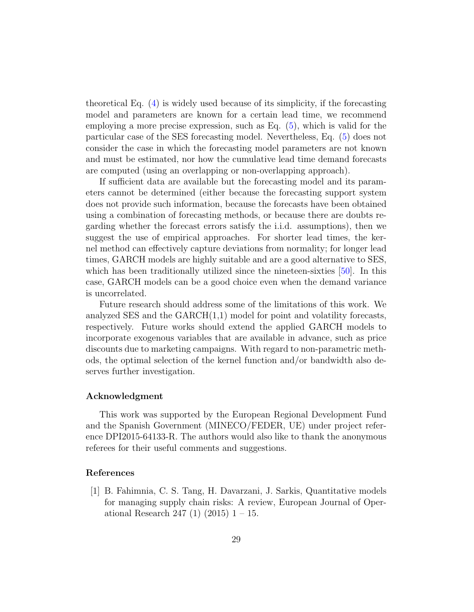theoretical Eq. [\(4\)](#page-5-2) is widely used because of its simplicity, if the forecasting model and parameters are known for a certain lead time, we recommend employing a more precise expression, such as Eq. [\(5\)](#page-5-3), which is valid for the particular case of the SES forecasting model. Nevertheless, Eq. [\(5\)](#page-5-3) does not consider the case in which the forecasting model parameters are not known and must be estimated, nor how the cumulative lead time demand forecasts are computed (using an overlapping or non-overlapping approach).

If sufficient data are available but the forecasting model and its parameters cannot be determined (either because the forecasting support system does not provide such information, because the forecasts have been obtained using a combination of forecasting methods, or because there are doubts regarding whether the forecast errors satisfy the i.i.d. assumptions), then we suggest the use of empirical approaches. For shorter lead times, the kernel method can effectively capture deviations from normality; for longer lead times, GARCH models are highly suitable and are a good alternative to SES, which has been traditionally utilized since the nineteen-sixties [\[50\]](#page-33-3). In this case, GARCH models can be a good choice even when the demand variance is uncorrelated.

Future research should address some of the limitations of this work. We analyzed SES and the  $GARCH(1,1)$  model for point and volatility forecasts, respectively. Future works should extend the applied GARCH models to incorporate exogenous variables that are available in advance, such as price discounts due to marketing campaigns. With regard to non-parametric methods, the optimal selection of the kernel function and/or bandwidth also deserves further investigation.

## Acknowledgment

This work was supported by the European Regional Development Fund and the Spanish Government (MINECO/FEDER, UE) under project reference DPI2015-64133-R. The authors would also like to thank the anonymous referees for their useful comments and suggestions.

## References

<span id="page-28-0"></span>[1] B. Fahimnia, C. S. Tang, H. Davarzani, J. Sarkis, Quantitative models for managing supply chain risks: A review, European Journal of Operational Research 247 (1)  $(2015)$  1 – 15.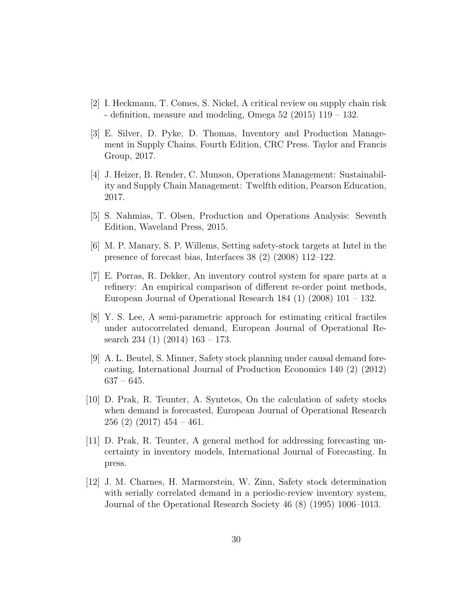- <span id="page-29-0"></span>[2] I. Heckmann, T. Comes, S. Nickel, A critical review on supply chain risk - definition, measure and modeling, Omega 52 (2015) 119 – 132.
- <span id="page-29-1"></span>[3] E. Silver, D. Pyke, D. Thomas, Inventory and Production Management in Supply Chains. Fourth Edition, CRC Press. Taylor and Francis Group, 2017.
- <span id="page-29-2"></span>[4] J. Heizer, B. Render, C. Munson, Operations Management: Sustainability and Supply Chain Management: Twelfth edition, Pearson Education, 2017.
- <span id="page-29-3"></span>[5] S. Nahmias, T. Olsen, Production and Operations Analysis: Seventh Edition, Waveland Press, 2015.
- <span id="page-29-4"></span>[6] M. P. Manary, S. P. Willems, Setting safety-stock targets at Intel in the presence of forecast bias, Interfaces 38 (2) (2008) 112–122.
- <span id="page-29-5"></span>[7] E. Porras, R. Dekker, An inventory control system for spare parts at a refinery: An empirical comparison of different re-order point methods, European Journal of Operational Research 184 (1) (2008) 101 – 132.
- <span id="page-29-6"></span>[8] Y. S. Lee, A semi-parametric approach for estimating critical fractiles under autocorrelated demand, European Journal of Operational Research 234 (1) (2014) 163 – 173.
- <span id="page-29-7"></span>[9] A. L. Beutel, S. Minner, Safety stock planning under causal demand forecasting, International Journal of Production Economics 140 (2) (2012) 637 – 645.
- <span id="page-29-8"></span>[10] D. Prak, R. Teunter, A. Syntetos, On the calculation of safety stocks when demand is forecasted, European Journal of Operational Research  $256(2)(2017)454 - 461.$
- <span id="page-29-9"></span>[11] D. Prak, R. Teunter, A general method for addressing forecasting uncertainty in inventory models, International Journal of Forecasting. In press.
- <span id="page-29-10"></span>[12] J. M. Charnes, H. Marmorstein, W. Zinn, Safety stock determination with serially correlated demand in a periodic-review inventory system, Journal of the Operational Research Society 46 (8) (1995) 1006–1013.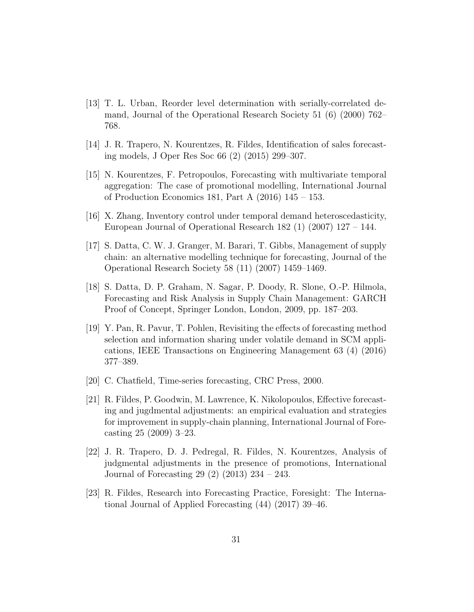- <span id="page-30-0"></span>[13] T. L. Urban, Reorder level determination with serially-correlated demand, Journal of the Operational Research Society 51 (6) (2000) 762– 768.
- <span id="page-30-1"></span>[14] J. R. Trapero, N. Kourentzes, R. Fildes, Identification of sales forecasting models, J Oper Res Soc 66 (2) (2015) 299–307.
- <span id="page-30-2"></span>[15] N. Kourentzes, F. Petropoulos, Forecasting with multivariate temporal aggregation: The case of promotional modelling, International Journal of Production Economics 181, Part A (2016) 145 – 153.
- <span id="page-30-3"></span>[16] X. Zhang, Inventory control under temporal demand heteroscedasticity, European Journal of Operational Research 182 (1) (2007) 127 – 144.
- <span id="page-30-4"></span>[17] S. Datta, C. W. J. Granger, M. Barari, T. Gibbs, Management of supply chain: an alternative modelling technique for forecasting, Journal of the Operational Research Society 58 (11) (2007) 1459–1469.
- <span id="page-30-5"></span>[18] S. Datta, D. P. Graham, N. Sagar, P. Doody, R. Slone, O.-P. Hilmola, Forecasting and Risk Analysis in Supply Chain Management: GARCH Proof of Concept, Springer London, London, 2009, pp. 187–203.
- <span id="page-30-6"></span>[19] Y. Pan, R. Pavur, T. Pohlen, Revisiting the effects of forecasting method selection and information sharing under volatile demand in SCM applications, IEEE Transactions on Engineering Management 63 (4) (2016) 377–389.
- <span id="page-30-7"></span>[20] C. Chatfield, Time-series forecasting, CRC Press, 2000.
- <span id="page-30-8"></span>[21] R. Fildes, P. Goodwin, M. Lawrence, K. Nikolopoulos, Effective forecasting and jugdmental adjustments: an empirical evaluation and strategies for improvement in supply-chain planning, International Journal of Forecasting 25 (2009) 3–23.
- <span id="page-30-9"></span>[22] J. R. Trapero, D. J. Pedregal, R. Fildes, N. Kourentzes, Analysis of judgmental adjustments in the presence of promotions, International Journal of Forecasting 29 (2) (2013) 234 – 243.
- <span id="page-30-10"></span>[23] R. Fildes, Research into Forecasting Practice, Foresight: The International Journal of Applied Forecasting (44) (2017) 39–46.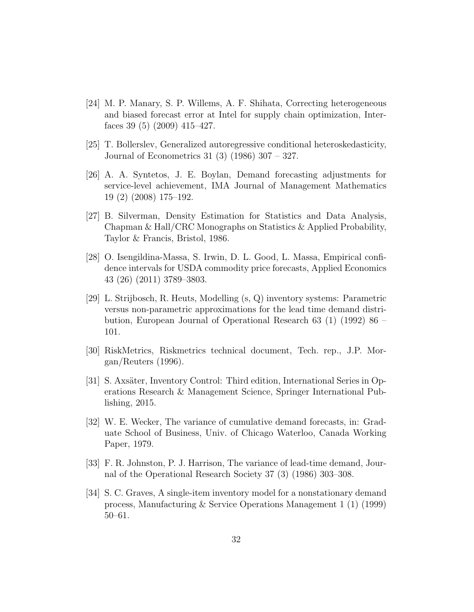- <span id="page-31-0"></span>[24] M. P. Manary, S. P. Willems, A. F. Shihata, Correcting heterogeneous and biased forecast error at Intel for supply chain optimization, Interfaces 39 (5) (2009) 415–427.
- <span id="page-31-1"></span>[25] T. Bollerslev, Generalized autoregressive conditional heteroskedasticity, Journal of Econometrics 31 (3) (1986) 307 – 327.
- <span id="page-31-2"></span>[26] A. A. Syntetos, J. E. Boylan, Demand forecasting adjustments for service-level achievement, IMA Journal of Management Mathematics 19 (2) (2008) 175–192.
- <span id="page-31-3"></span>[27] B. Silverman, Density Estimation for Statistics and Data Analysis, Chapman & Hall/CRC Monographs on Statistics & Applied Probability, Taylor & Francis, Bristol, 1986.
- <span id="page-31-4"></span>[28] O. Isengildina-Massa, S. Irwin, D. L. Good, L. Massa, Empirical confidence intervals for USDA commodity price forecasts, Applied Economics 43 (26) (2011) 3789–3803.
- <span id="page-31-5"></span>[29] L. Strijbosch, R. Heuts, Modelling (s, Q) inventory systems: Parametric versus non-parametric approximations for the lead time demand distribution, European Journal of Operational Research 63 (1) (1992) 86 – 101.
- <span id="page-31-6"></span>[30] RiskMetrics, Riskmetrics technical document, Tech. rep., J.P. Morgan/Reuters (1996).
- <span id="page-31-7"></span>[31] S. Axsäter, Inventory Control: Third edition, International Series in Operations Research & Management Science, Springer International Publishing, 2015.
- <span id="page-31-8"></span>[32] W. E. Wecker, The variance of cumulative demand forecasts, in: Graduate School of Business, Univ. of Chicago Waterloo, Canada Working Paper, 1979.
- <span id="page-31-9"></span>[33] F. R. Johnston, P. J. Harrison, The variance of lead-time demand, Journal of the Operational Research Society 37 (3) (1986) 303–308.
- <span id="page-31-10"></span>[34] S. C. Graves, A single-item inventory model for a nonstationary demand process, Manufacturing & Service Operations Management 1 (1) (1999) 50–61.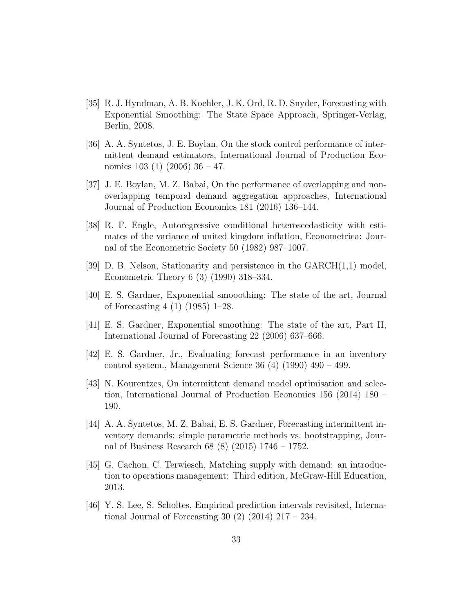- <span id="page-32-0"></span>[35] R. J. Hyndman, A. B. Koehler, J. K. Ord, R. D. Snyder, Forecasting with Exponential Smoothing: The State Space Approach, Springer-Verlag, Berlin, 2008.
- <span id="page-32-1"></span>[36] A. A. Syntetos, J. E. Boylan, On the stock control performance of intermittent demand estimators, International Journal of Production Economics 103 (1) (2006) 36 – 47.
- <span id="page-32-2"></span>[37] J. E. Boylan, M. Z. Babai, On the performance of overlapping and nonoverlapping temporal demand aggregation approaches, International Journal of Production Economics 181 (2016) 136–144.
- <span id="page-32-3"></span>[38] R. F. Engle, Autoregressive conditional heteroscedasticity with estimates of the variance of united kingdom inflation, Econometrica: Journal of the Econometric Society 50 (1982) 987–1007.
- <span id="page-32-4"></span>[39] D. B. Nelson, Stationarity and persistence in the GARCH(1,1) model, Econometric Theory 6 (3) (1990) 318–334.
- <span id="page-32-5"></span>[40] E. S. Gardner, Exponential smooothing: The state of the art, Journal of Forecasting 4 (1) (1985) 1–28.
- <span id="page-32-6"></span>[41] E. S. Gardner, Exponential smoothing: The state of the art, Part II, International Journal of Forecasting 22 (2006) 637–666.
- <span id="page-32-7"></span>[42] E. S. Gardner, Jr., Evaluating forecast performance in an inventory control system., Management Science 36 (4) (1990) 490 – 499.
- <span id="page-32-8"></span>[43] N. Kourentzes, On intermittent demand model optimisation and selection, International Journal of Production Economics 156 (2014) 180 – 190.
- <span id="page-32-9"></span>[44] A. A. Syntetos, M. Z. Babai, E. S. Gardner, Forecasting intermittent inventory demands: simple parametric methods vs. bootstrapping, Journal of Business Research 68 (8) (2015) 1746 – 1752.
- <span id="page-32-10"></span>[45] G. Cachon, C. Terwiesch, Matching supply with demand: an introduction to operations management: Third edition, McGraw-Hill Education, 2013.
- <span id="page-32-11"></span>[46] Y. S. Lee, S. Scholtes, Empirical prediction intervals revisited, International Journal of Forecasting 30  $(2)$   $(2014)$   $217 - 234$ .